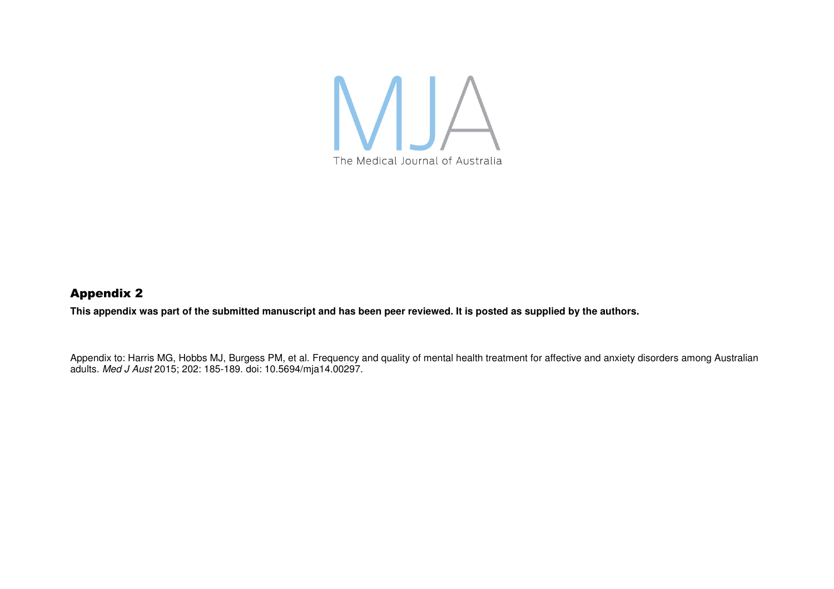

## Appendix 2

**This appendix was part of the submitted manuscript and has been peer reviewed. It is posted as supplied by the authors.** 

Appendix to: Harris MG, Hobbs MJ, Burgess PM, et al. Frequency and quality of mental health treatment for affective and anxiety disorders among Australian adults. Med J Aust 2015; 202: 185-189. doi: 10.5694/mja14.00297.